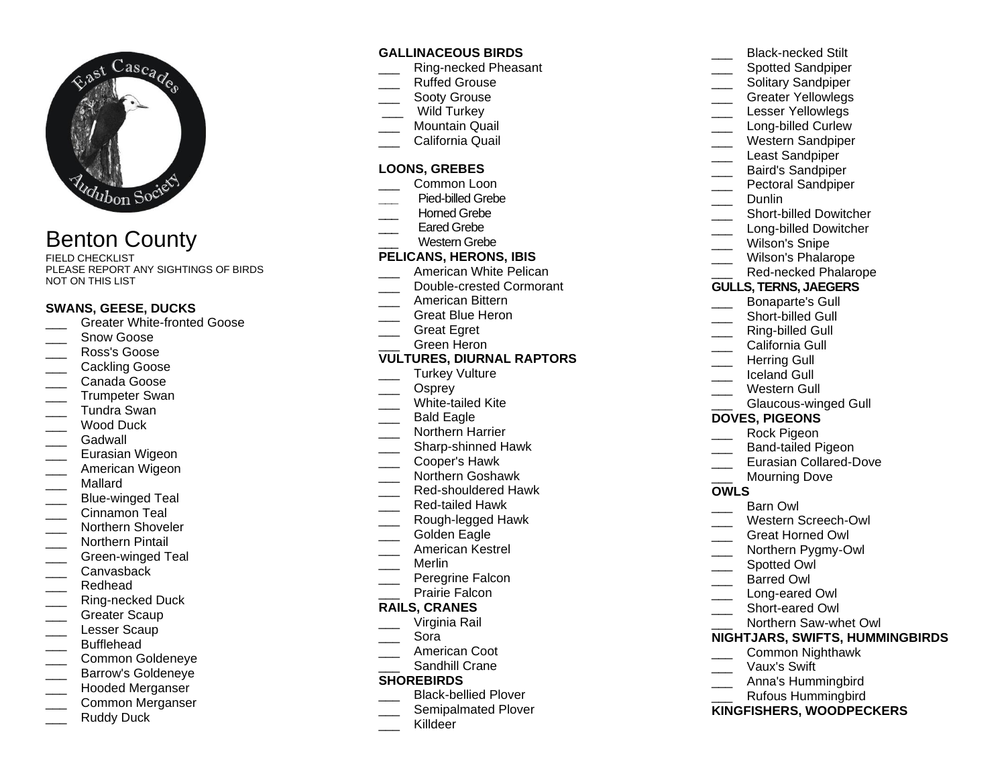

# Benton County

FIELD CHECKLIST PLEASE REPORT ANY SIGHTINGS OF BIRDS NOT ON THIS LIST

#### **SWANS, GEESE, DUCKS**

- Greater White-fronted Goose
- Snow Goose
- \_\_\_ Ross's Goose
- \_\_\_ Cackling Goose
- \_\_\_ Canada Goose
- Trumpeter Swan
- \_\_\_ Tundra Swan
- Wood Duck
- Gadwall
- Eurasian Wigeon
- American Wigeon
- \_\_\_ Mallard
- Blue-winged Teal
- Cinnamon Teal
- Northern Shoveler
- \_\_\_ Northern Pintail
- Green-winged Teal
- Canvasback
- Redhead
- Ring-necked Duck
- Greater Scaup
- Lesser Scaup
- \_\_\_ Bufflehead
- \_\_\_ Common Goldeneye
- Barrow's Goldeneye
- \_\_\_ Hooded Merganser
- \_\_\_ Common Merganser
- Ruddy Duck

# **GALLINACEOUS BIRDS**

- \_\_\_ Ring-necked Pheasant
- Ruffed Grouse
- Sooty Grouse
- Wild Turkey
- Mountain Quail
- \_\_\_ California Quail

## **LOONS, GREBES**

- Common Loon
- **\_\_\_** Pied-billed Grebe
- Horned Grebe
- Fared Grebe
- Western Grebe

# **PELICANS, HERONS, IBIS**

- American White Pelican
- Double-crested Cormorant
- \_\_\_ American Bittern
- \_\_\_ Great Blue Heron
- Great Egret
- \_\_\_ Green Heron

#### **VULTURES, DIURNAL RAPTORS**

- Turkey Vulture
- Osprey
- White-tailed Kite
- Bald Eagle
- \_\_\_ Northern Harrier
- \_\_\_ Sharp-shinned Hawk
- \_\_\_ Cooper's Hawk
- \_\_\_ Northern Goshawk
- Red-shouldered Hawk
- \_\_\_ Red-tailed Hawk
- \_\_\_ Rough-legged Hawk
- Golden Eagle
- \_\_\_ American Kestrel
- \_\_\_ Merlin
	- Peregrine Falcon
- Prairie Falcon

## **RAILS, CRANES**

- \_\_\_ Virginia Rail
- \_\_\_ Sora
- American Coot
- Sandhill Crane

#### **SHOREBIRDS**

- Black-bellied Plover
- Semipalmated Plover
- \_\_\_ Killdeer
- \_\_\_ Black-necked Stilt Spotted Sandpiper Solitary Sandpiper \_\_\_ Greater Yellowlegs Lesser Yellowlegs Long-billed Curlew \_\_\_ Western Sandpiper Least Sandpiper \_\_\_ Baird's Sandpiper Pectoral Sandpiper Dunlin \_\_\_ Short-billed Dowitcher Long-billed Dowitcher Wilson's Snipe Wilson's Phalarope Red-necked Phalarope **GULLS, TERNS, JAEGERS** \_\_\_ Bonaparte's Gull Short-billed Gull Ring-billed Gull California Gull Herring Gull \_\_\_ Iceland Gull Western Gull Glaucous-winged Gull **DOVES, PIGEONS** \_\_\_ Rock Pigeon \_\_\_ Band-tailed Pigeon Eurasian Collared-Dove Mourning Dove **OWLS** Barn Owl Western Screech-Owl \_\_\_ Great Horned Owl Northern Pygmy-Owl Spotted Owl \_\_\_ Barred Owl
- Long-eared Owl
- Short-eared Owl
- \_\_\_ Northern Saw-whet Owl

#### **NIGHTJARS, SWIFTS, HUMMINGBIRDS**

- \_\_\_ Common Nighthawk
- \_\_\_ Vaux's Swift
- \_\_\_ Anna's Hummingbird
- \_\_\_ Rufous Hummingbird

#### **KINGFISHERS, WOODPECKERS**